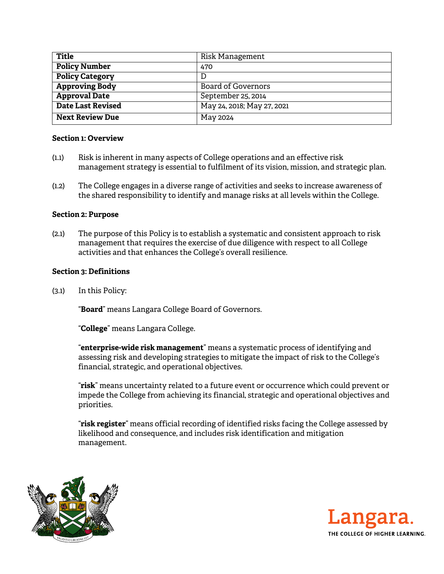| <b>Title</b>             | Risk Management            |
|--------------------------|----------------------------|
| <b>Policy Number</b>     | 470                        |
| <b>Policy Category</b>   | D                          |
| <b>Approving Body</b>    | Board of Governors         |
| <b>Approval Date</b>     | September 25, 2014         |
| <b>Date Last Revised</b> | May 24, 2018; May 27, 2021 |
| <b>Next Review Due</b>   | May 2024                   |

#### **Section 1: Overview**

- (1.1) Risk is inherent in many aspects of College operations and an effective risk management strategy is essential to fulfilment of its vision, mission, and strategic plan.
- (1.2) The College engages in a diverse range of activities and seeks to increase awareness of the shared responsibility to identify and manage risks at all levels within the College.

# **Section 2: Purpose**

(2.1) The purpose of this Policy is to establish a systematic and consistent approach to risk management that requires the exercise of due diligence with respect to all College activities and that enhances the College's overall resilience.

# **Section 3: Definitions**

(3.1) In this Policy:

"**Board**" means Langara College Board of Governors.

"**College**" means Langara College.

"**enterprise-wide risk management**" means a systematic process of identifying and assessing risk and developing strategies to mitigate the impact of risk to the College's financial, strategic, and operational objectives.

"**risk**" means uncertainty related to a future event or occurrence which could prevent or impede the College from achieving its financial, strategic and operational objectives and priorities.

"**risk register**" means official recording of identified risks facing the College assessed by likelihood and consequence, and includes risk identification and mitigation management.